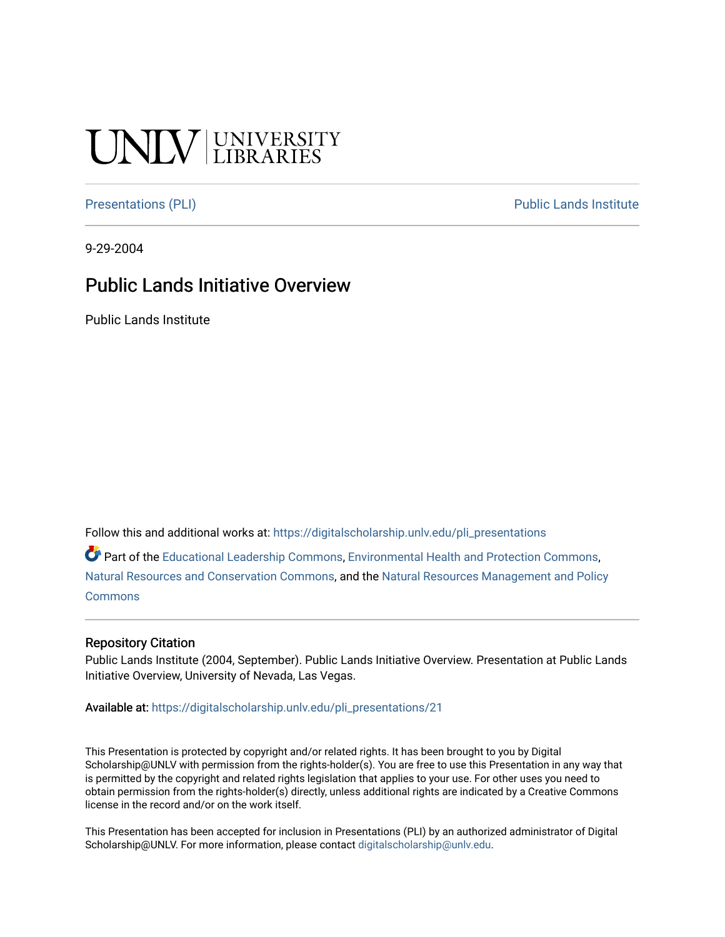## **NIV UNIVERSITY**

[Presentations \(PLI\)](https://digitalscholarship.unlv.edu/pli_presentations) Presentations (PLI)

9-29-2004

#### Public Lands Initiative Overview

Public Lands Institute

Follow this and additional works at: [https://digitalscholarship.unlv.edu/pli\\_presentations](https://digitalscholarship.unlv.edu/pli_presentations?utm_source=digitalscholarship.unlv.edu%2Fpli_presentations%2F21&utm_medium=PDF&utm_campaign=PDFCoverPages) 

Part of the [Educational Leadership Commons,](http://network.bepress.com/hgg/discipline/1230?utm_source=digitalscholarship.unlv.edu%2Fpli_presentations%2F21&utm_medium=PDF&utm_campaign=PDFCoverPages) [Environmental Health and Protection Commons](http://network.bepress.com/hgg/discipline/172?utm_source=digitalscholarship.unlv.edu%2Fpli_presentations%2F21&utm_medium=PDF&utm_campaign=PDFCoverPages), [Natural Resources and Conservation Commons,](http://network.bepress.com/hgg/discipline/168?utm_source=digitalscholarship.unlv.edu%2Fpli_presentations%2F21&utm_medium=PDF&utm_campaign=PDFCoverPages) and the [Natural Resources Management and Policy](http://network.bepress.com/hgg/discipline/170?utm_source=digitalscholarship.unlv.edu%2Fpli_presentations%2F21&utm_medium=PDF&utm_campaign=PDFCoverPages)  [Commons](http://network.bepress.com/hgg/discipline/170?utm_source=digitalscholarship.unlv.edu%2Fpli_presentations%2F21&utm_medium=PDF&utm_campaign=PDFCoverPages)

#### Repository Citation

Public Lands Institute (2004, September). Public Lands Initiative Overview. Presentation at Public Lands Initiative Overview, University of Nevada, Las Vegas.

Available at: [https://digitalscholarship.unlv.edu/pli\\_presentations/21](https://digitalscholarship.unlv.edu/pli_presentations/21)

This Presentation is protected by copyright and/or related rights. It has been brought to you by Digital Scholarship@UNLV with permission from the rights-holder(s). You are free to use this Presentation in any way that is permitted by the copyright and related rights legislation that applies to your use. For other uses you need to obtain permission from the rights-holder(s) directly, unless additional rights are indicated by a Creative Commons license in the record and/or on the work itself.

This Presentation has been accepted for inclusion in Presentations (PLI) by an authorized administrator of Digital Scholarship@UNLV. For more information, please contact [digitalscholarship@unlv.edu.](mailto:digitalscholarship@unlv.edu)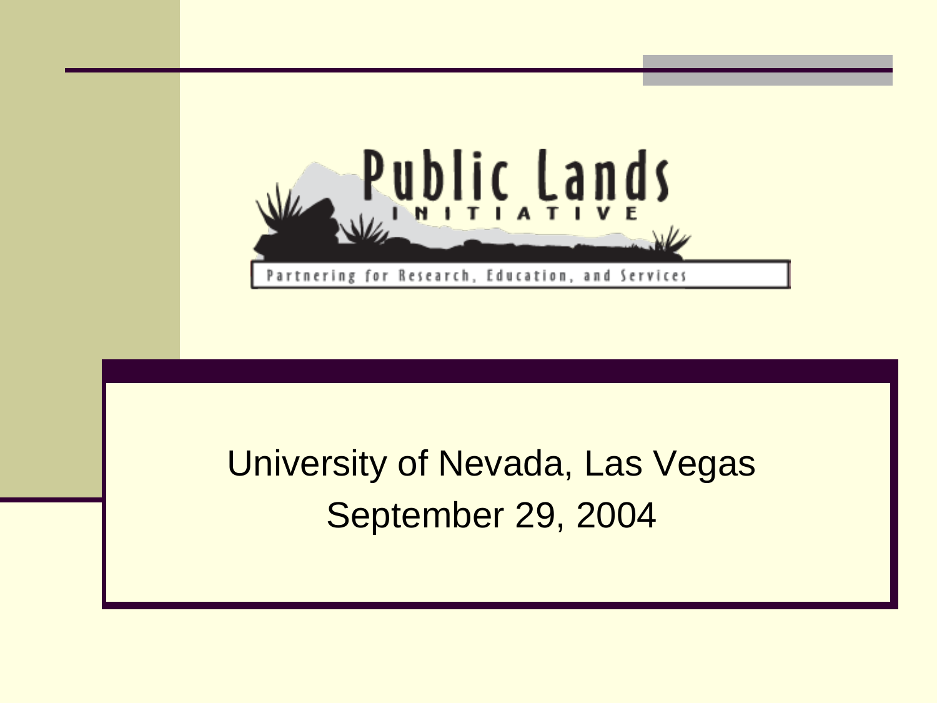

#### University of Nevada, Las Vegas September 29, 2004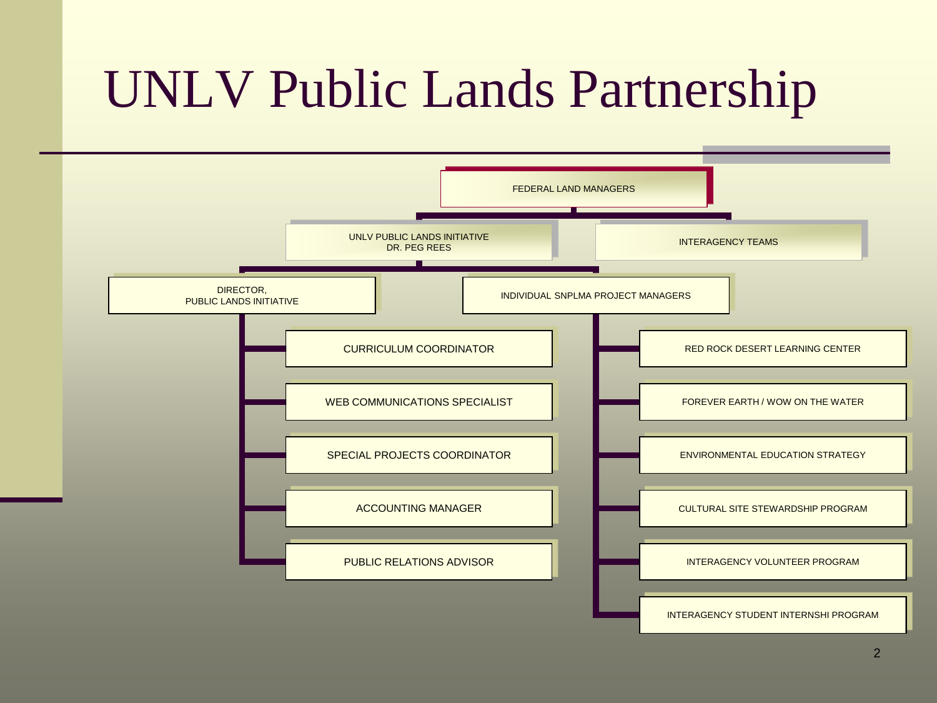## UNLV Public Lands Partnership

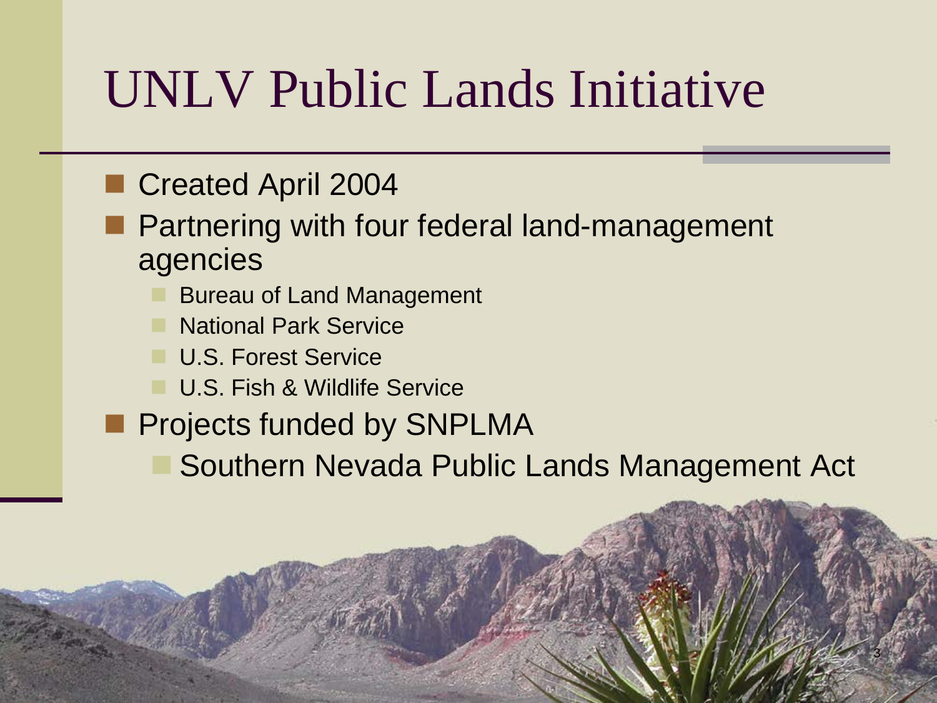## UNLV Public Lands Initiative

#### Created April 2004

- **Partnering with four federal land-management** agencies
	- Bureau of Land Management
	- National Park Service
	- **U.S. Forest Service**
	- U.S. Fish & Wildlife Service
- **Projects funded by SNPLMA** 
	- Southern Nevada Public Lands Management Act

3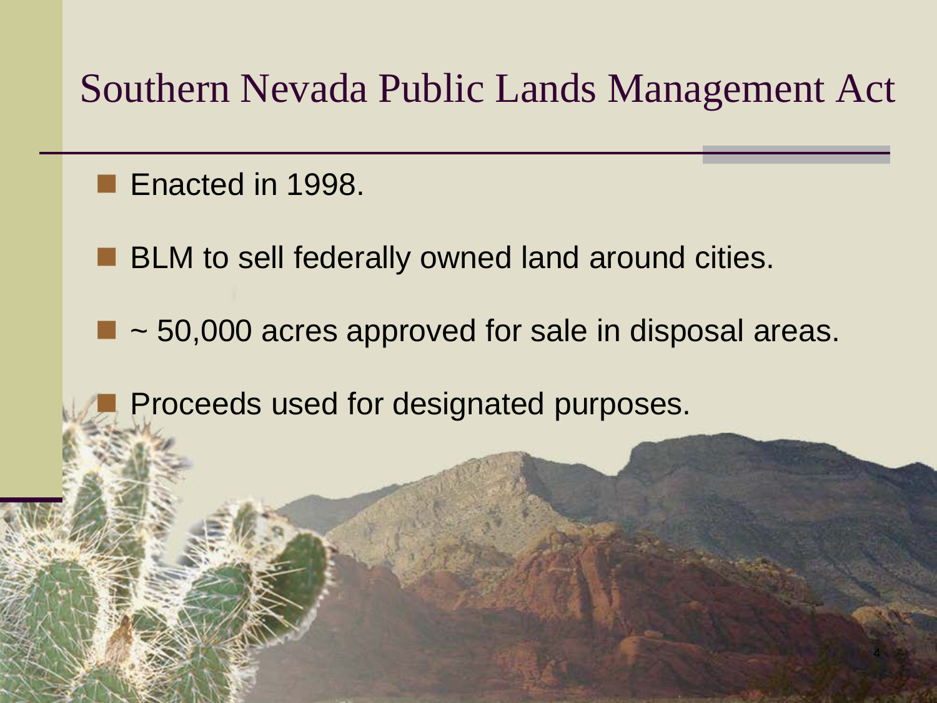#### Southern Nevada Public Lands Management Act

Enacted in 1998.

**BLM** to sell federally owned land around cities.

 $\blacksquare$  ~ 50,000 acres approved for sale in disposal areas.

4

Proceeds used for designated purposes.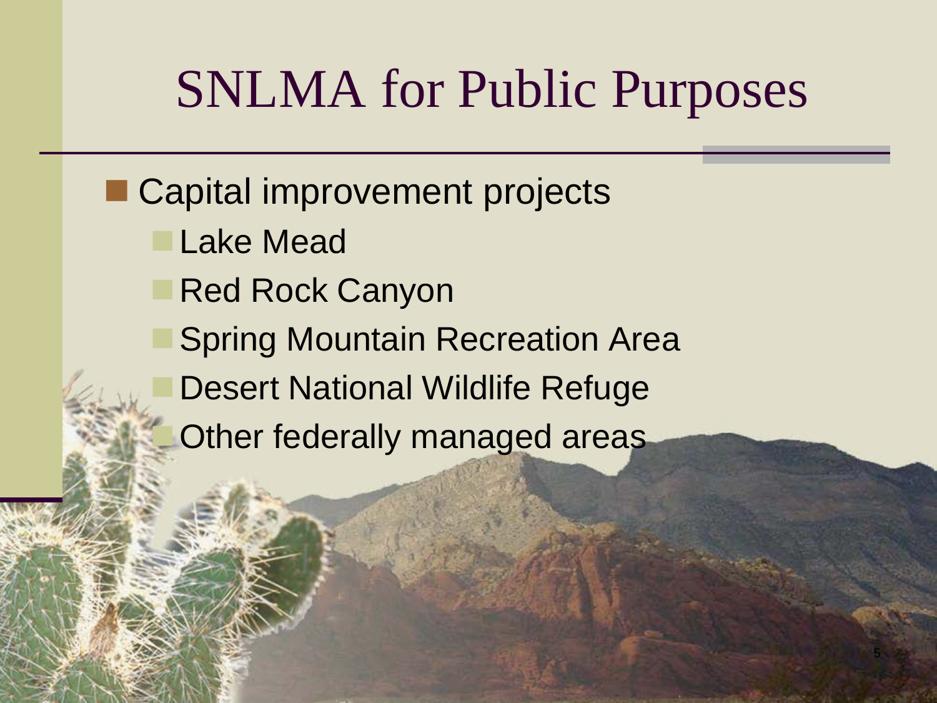## SNLMA for Public Purposes

■ Capital improvement projects

- Lake Mead
- Red Rock Canyon
- Spring Mountain Recreation Area
	- Desert National Wildlife Refuge
	- Other federally managed areas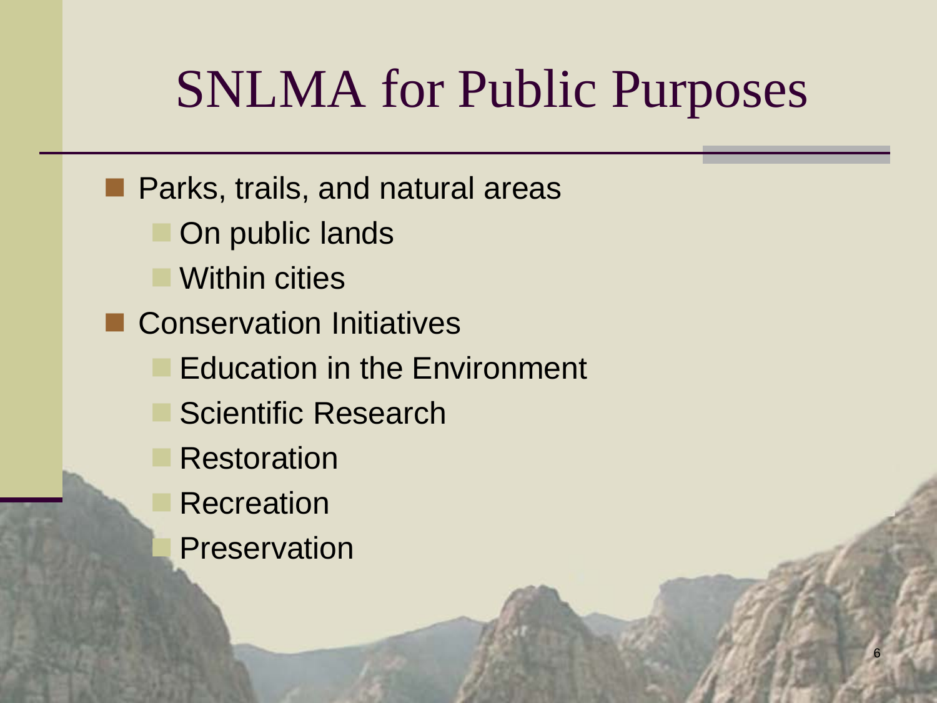## SNLMA for Public Purposes

**Parks, trails, and natural areas**  On public lands Within cities **E** Conservation Initiatives Education in the Environment Scientific Research Restoration **Recreation Preservation**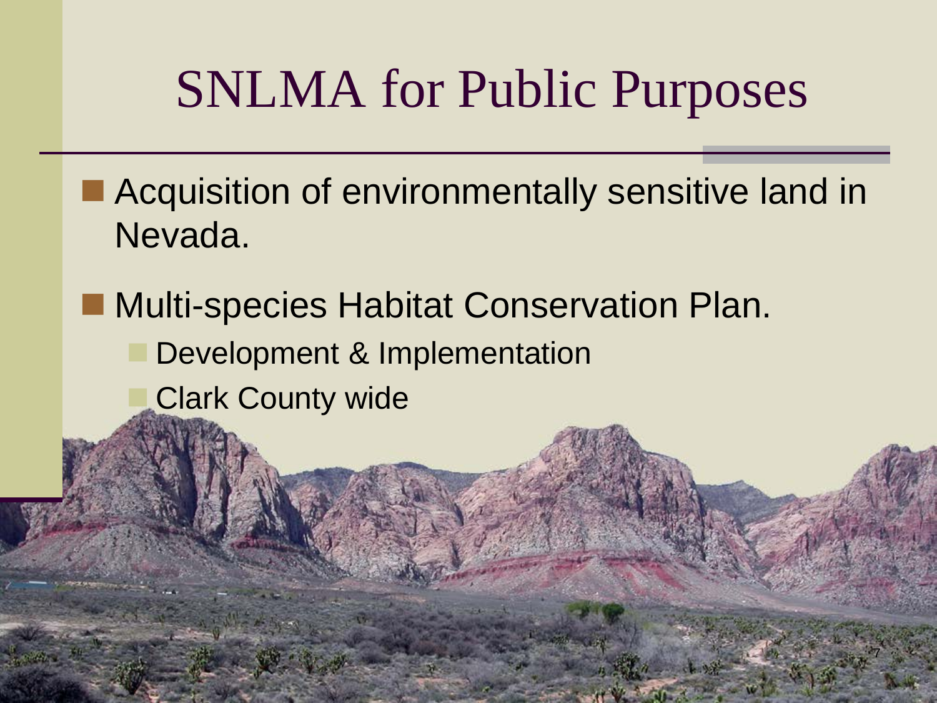## SNLMA for Public Purposes

■ Acquisition of environmentally sensitive land in Nevada.

7

- Multi-species Habitat Conservation Plan.
	- Development & Implementation
		- Clark County wide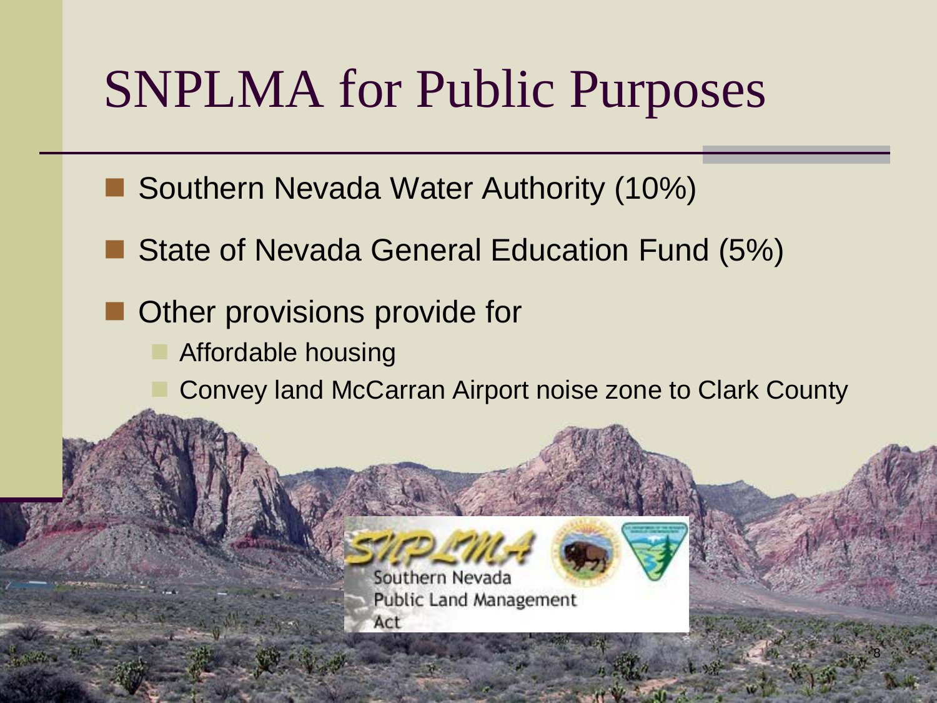## SNPLMA for Public Purposes

- Southern Nevada Water Authority (10%)
- State of Nevada General Education Fund (5%)
- Other provisions provide for
	- Affordable housing
		- Convey land McCarran Airport noise zone to Clark County



8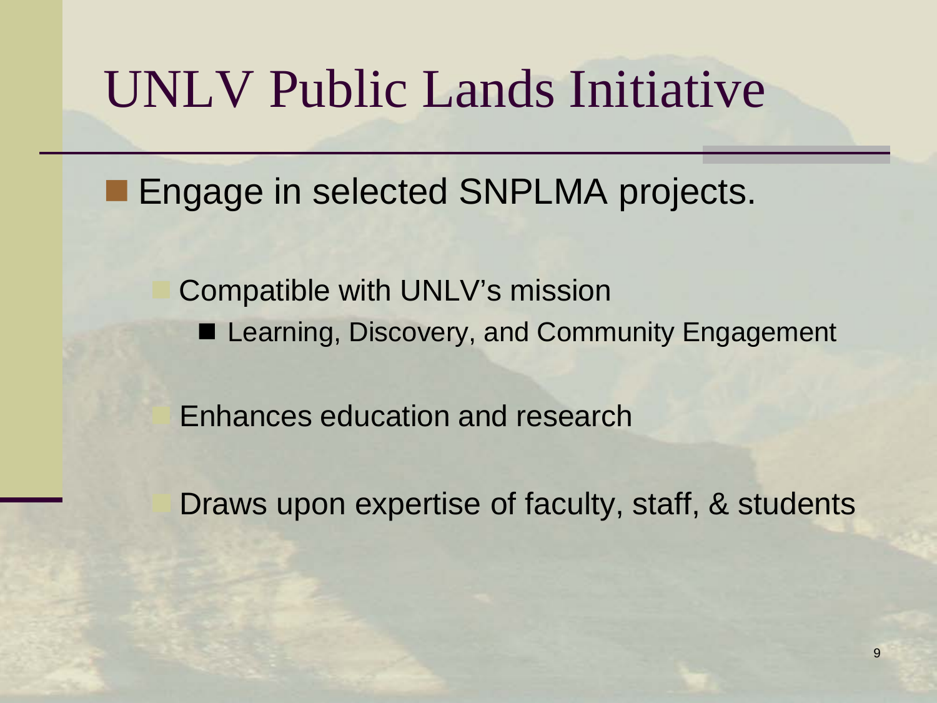## UNLV Public Lands Initiative

**Engage in selected SNPLMA projects.** 

 Compatible with UNLV's mission ■ Learning, Discovery, and Community Engagement

Enhances education and research

Draws upon expertise of faculty, staff, & students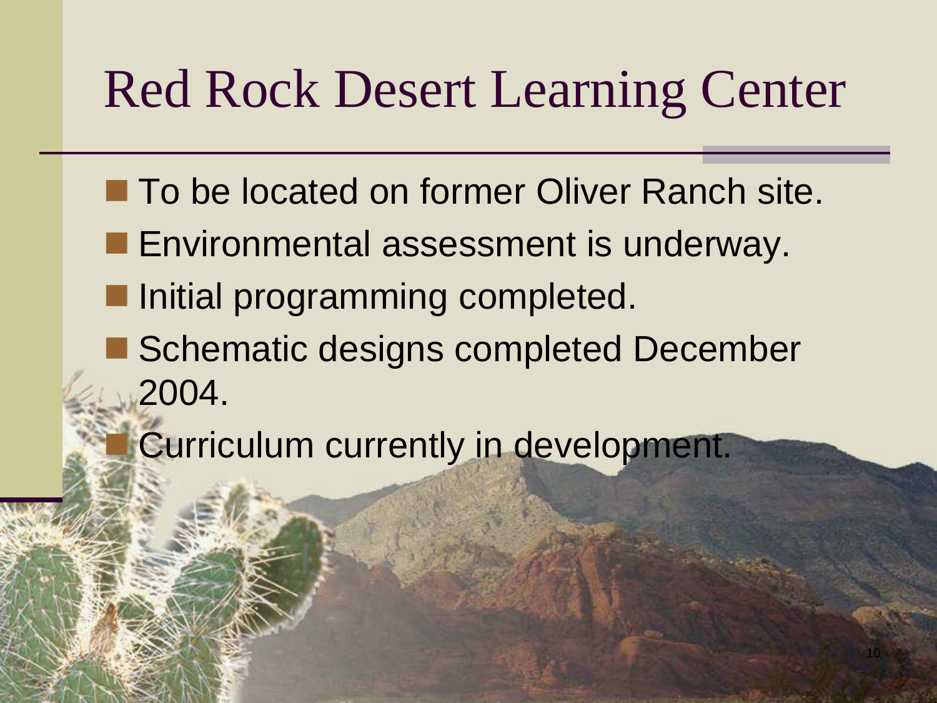## Red Rock Desert Learning Center

- To be located on former Oliver Ranch site.
- **Environmental assessment is underway.**
- **Initial programming completed.**
- Schematic designs completed December 2004.

10

Curriculum currently in development.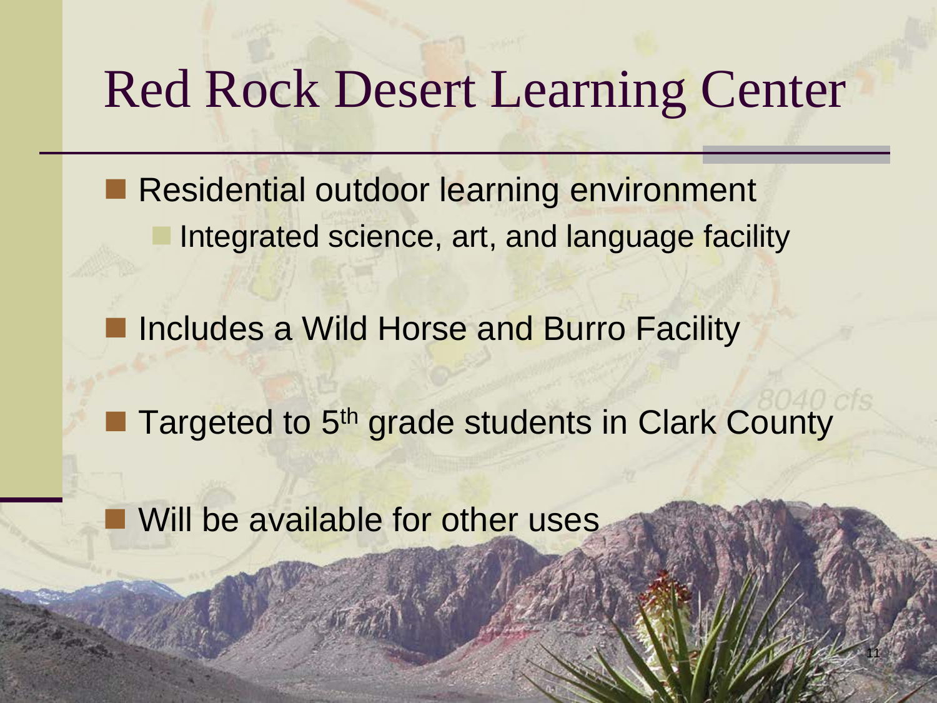### Red Rock Desert Learning Center

Residential outdoor learning environment Integrated science, art, and language facility

Includes a Wild Horse and Burro Facility

Targeted to 5<sup>th</sup> grade students in Clark County

11

Will be available for other uses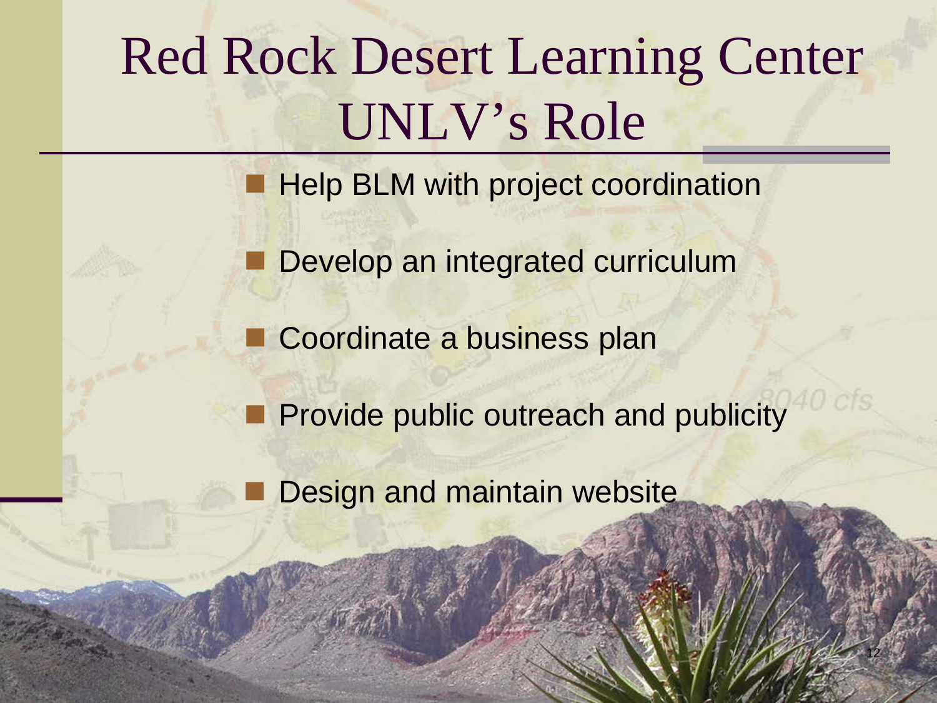## Red Rock Desert Learning Center UNLV's Role

**Help BLM with project coordination** 

Develop an integrated curriculum

Coordinate a business plan

**Provide public outreach and publicity** 

12

Design and maintain website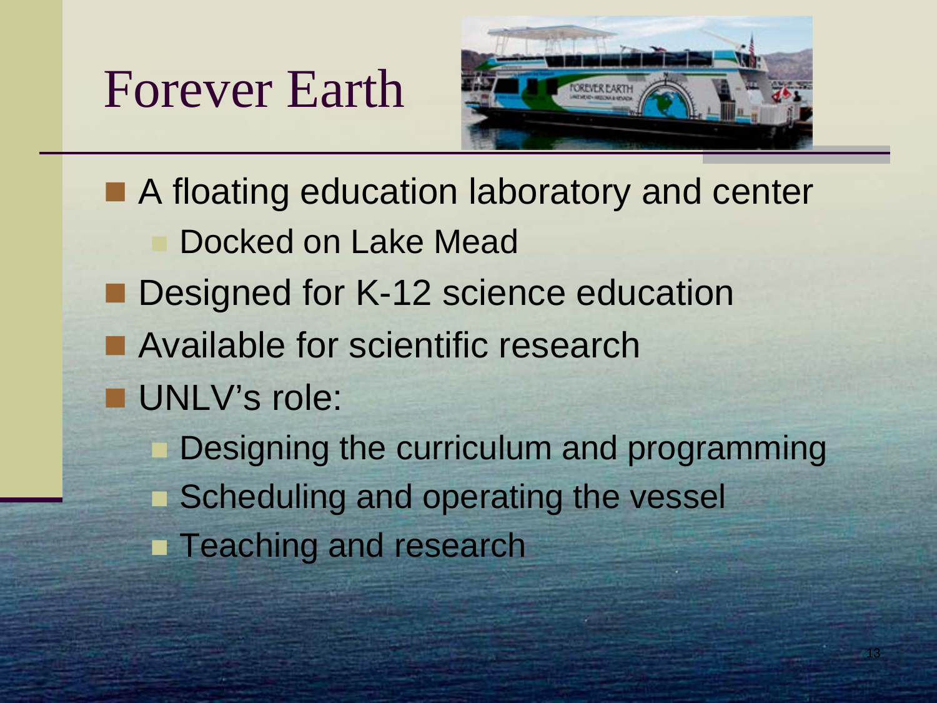## Forever Earth



13

■ A floating education laboratory and center Docked on Lake Mead Designed for K-12 science education ■ Available for scientific research **UNLV's role:**  Designing the curriculum and programming Scheduling and operating the vessel **Teaching and research**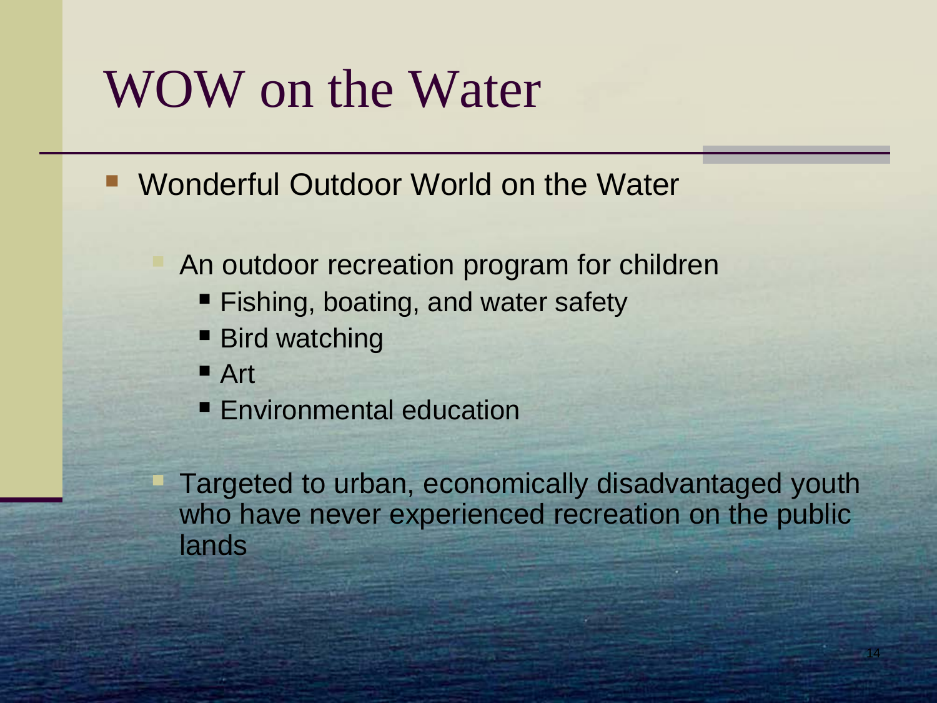## WOW on the Water

- Wonderful Outdoor World on the Water
	- An outdoor recreation program for children
		- Fishing, boating, and water safety
		- Bird watching
		- Art
		- **Environmental education**

 Targeted to urban, economically disadvantaged youth who have never experienced recreation on the public lands

14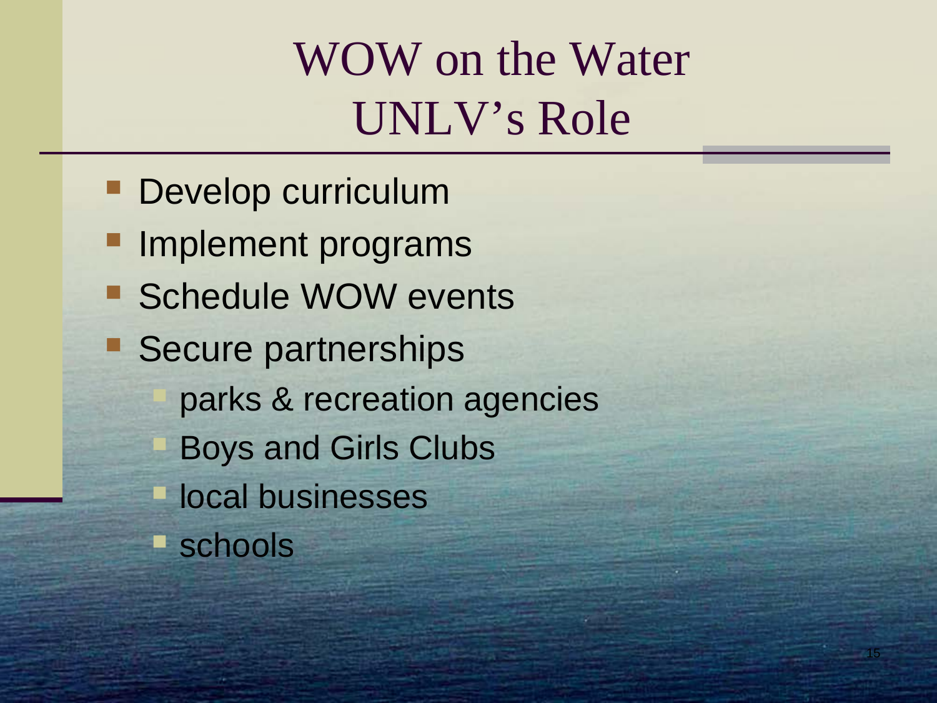## WOW on the Water UNLV's Role

15

**Develop curriculum Implement programs** ■ Schedule WOW events **Secure partnerships**  parks & recreation agencies Boys and Girls Clubs local businesses ■ schools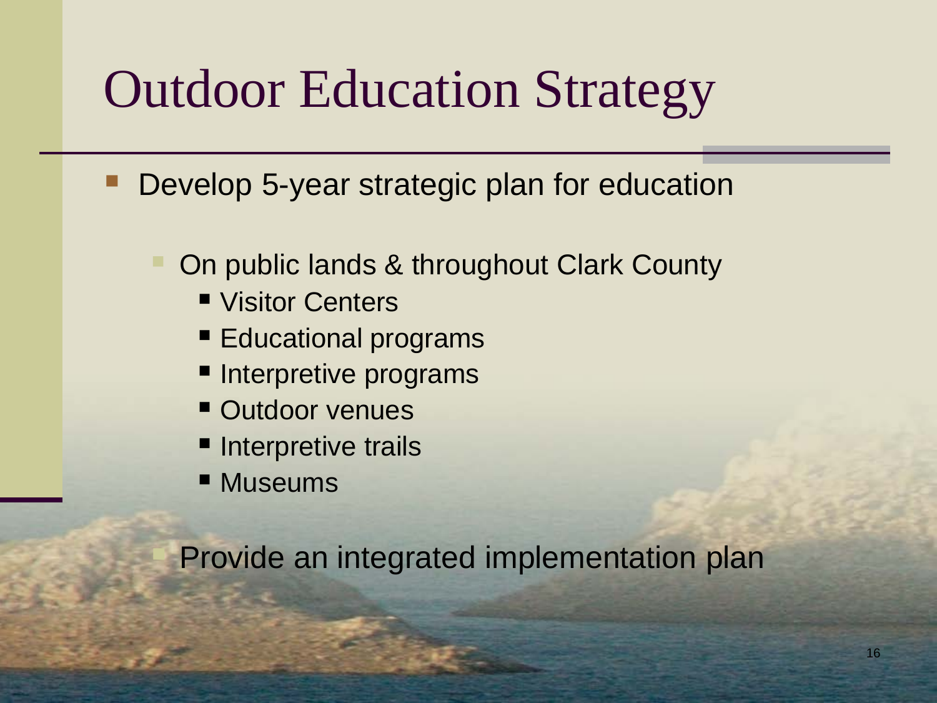## Outdoor Education Strategy

- Develop 5-year strategic plan for education
	- On public lands & throughout Clark County
		- Visitor Centers
		- **Educational programs**
		- **Interpretive programs**
		- **Outdoor venues**
		- **Interpretive trails**
		- Museums

Provide an integrated implementation plan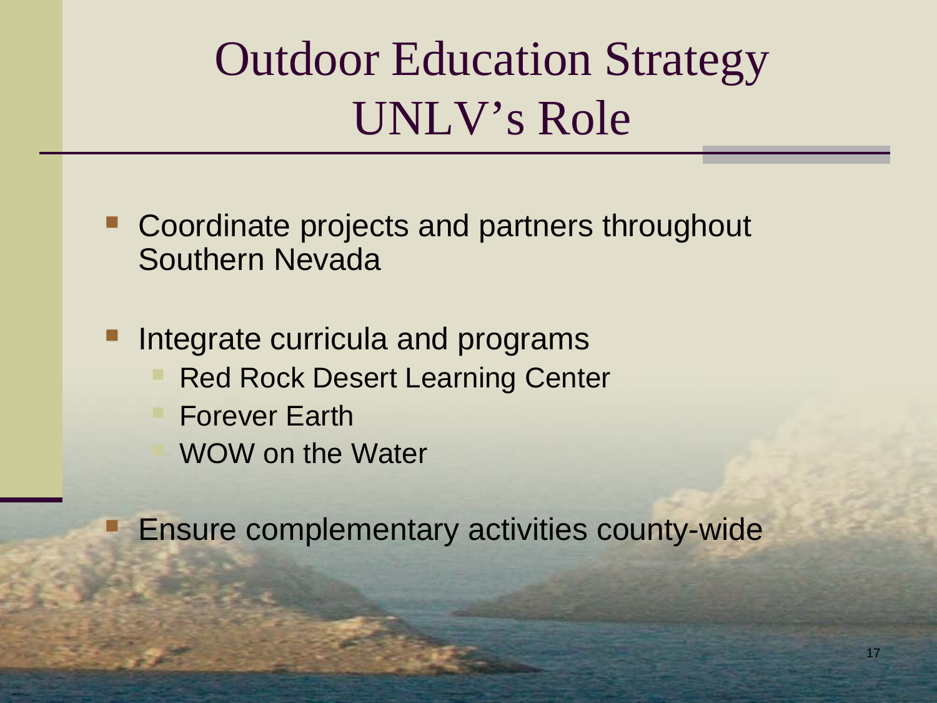## Outdoor Education Strategy UNLV's Role

- Coordinate projects and partners throughout Southern Nevada
- Integrate curricula and programs Red Rock Desert Learning Center Forever Earth WOW on the Water

Ensure complementary activities county-wide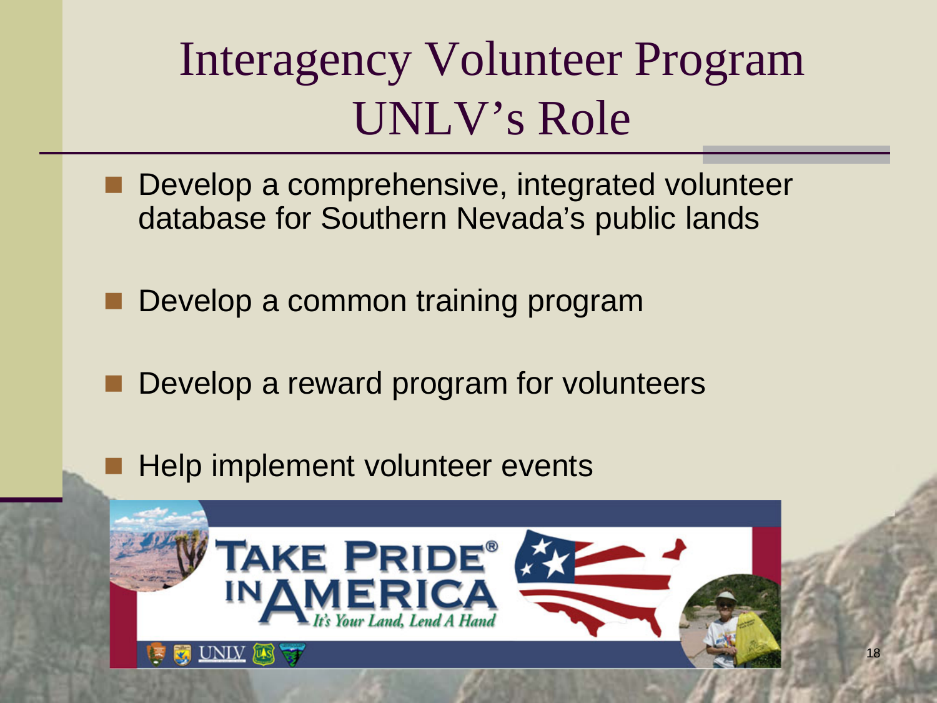## Interagency Volunteer Program UNLV's Role

- **Develop a comprehensive, integrated volunteer** database for Southern Nevada's public lands
- Develop a common training program
- Develop a reward program for volunteers
- Help implement volunteer events

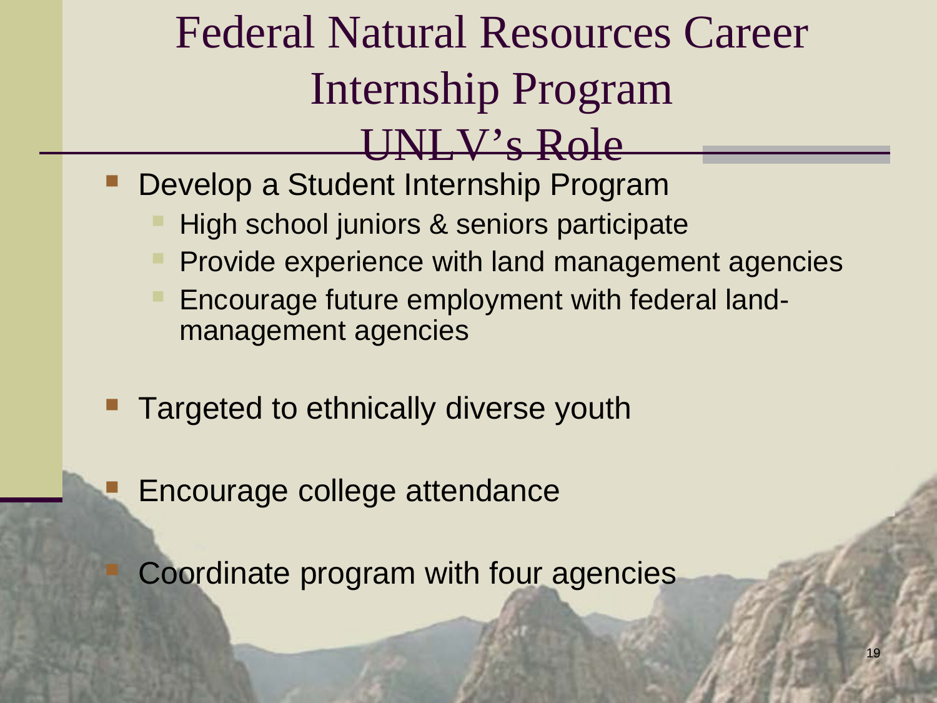## Federal Natural Resources Career Internship Program UNLV's Role

- Develop a Student Internship Program
	- High school juniors & seniors participate
	- Provide experience with land management agencies
	- Encourage future employment with federal landmanagement agencies
- Targeted to ethnically diverse youth
- Encourage college attendance
	- Coordinate program with four agencies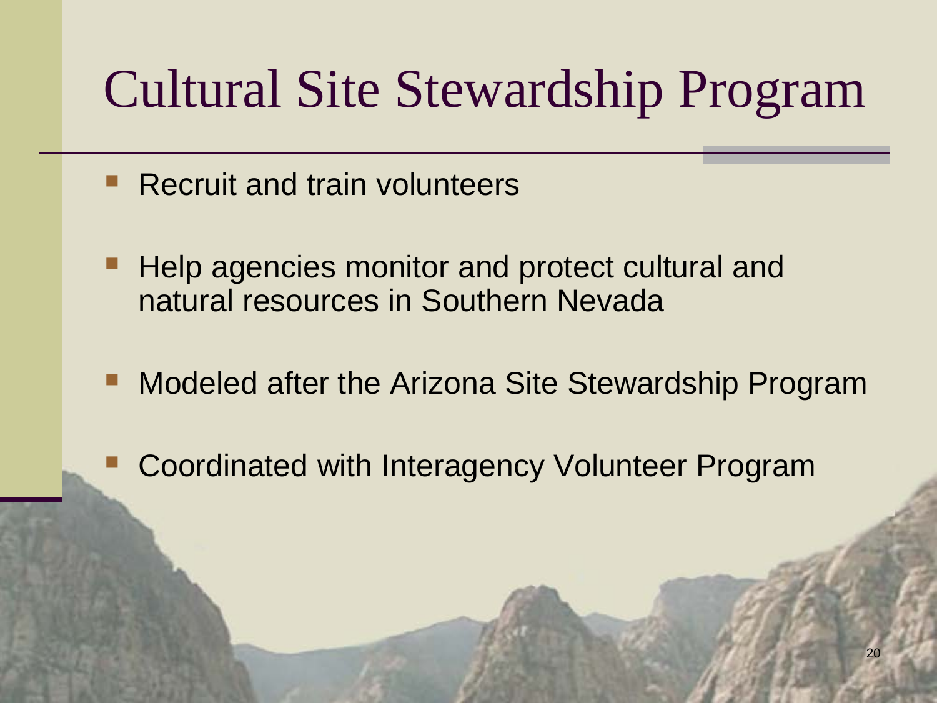## Cultural Site Stewardship Program

- Recruit and train volunteers
- Help agencies monitor and protect cultural and natural resources in Southern Nevada
- Modeled after the Arizona Site Stewardship Program
	- Coordinated with Interagency Volunteer Program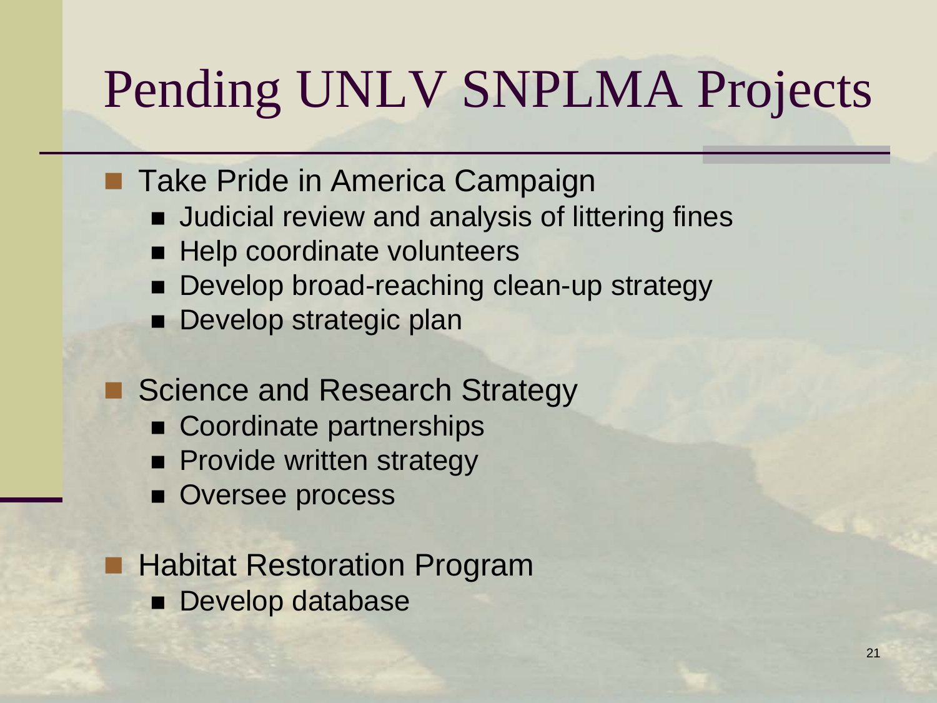# Pending UNLV SNPLMA Projects

- **Take Pride in America Campaign** 
	- **Judicial review and analysis of littering fines**
	- **Help coordinate volunteers**
	- Develop broad-reaching clean-up strategy
	- **Develop strategic plan**
- Science and Research Strategy
	- Coordinate partnerships
	- **Provide written strategy**
	- **Oversee process**
	- Habitat Restoration Program
		- **Develop database**